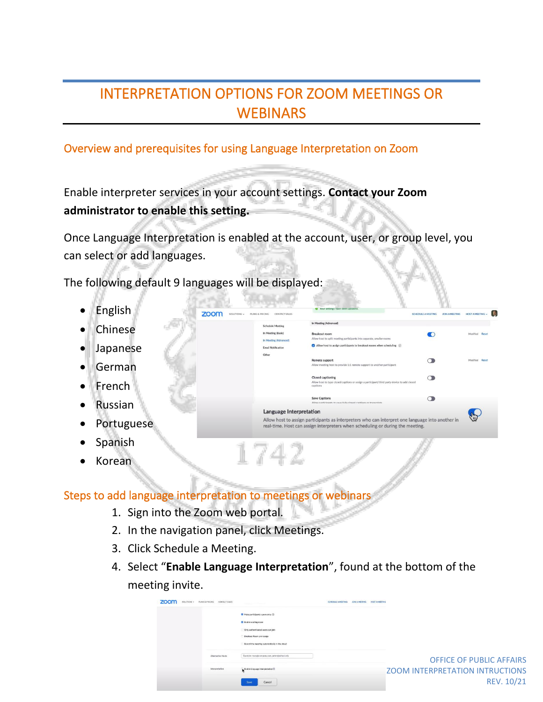# INTERPRETATION OPTIONS FOR ZOOM MEETINGS OR **WEBINARS**

#### Overview and prerequisites for using Language Interpretation on Zoom

Enable interpreter services in your account settings. **Contact your Zoom administrator to enable this setting.** 

Once Language Interpretation is enabled at the account, user, or group level, you can select or add languages.

1742

The following default 9 languages will be displayed:

zoom

- **English**
- **Chinese**
- **Japanese**
- German
- **French**
- **Russian**
- **Portuguese**
- **Spanish**
- Korean



#### Steps to add language interpretation to meetings or webinars

- 1. Sign into the Zoom web portal.
- 2. In the navigation panel, click Meetings.
- 3. Click Schedule a Meeting.
- 4. Select "**Enable Language Interpretation**", found at the bottom of the meeting invite.

| PLANS & PRICING CONTACT SALES<br>SOLUTIONS - | and the company of the company of             | SCHEDULE A MEETING | JOIN A MEETING HOST A MEETING |                                        |
|----------------------------------------------|-----------------------------------------------|--------------------|-------------------------------|----------------------------------------|
|                                              | <sup>6</sup> Mate participants upon entry (3) |                    |                               |                                        |
|                                              | <b>B</b> Enable waiting room                  |                    |                               |                                        |
|                                              | Only authenticated users can join             |                    |                               |                                        |
|                                              | <b>Breakout Room pre-assign</b>               |                    |                               |                                        |
|                                              | Record the meeting automatically in the cloud |                    |                               |                                        |
| Alternative Hosts                            | Example: manvillcompany.com, peter@school.edu |                    |                               |                                        |
|                                              |                                               |                    |                               | <b>OFFICE OF PUBLIC AFFAIRS</b>        |
| <b>Interpretation</b>                        | Enable language interpretation                |                    |                               | <b>ZOOM INTERPRETATION INTRUCTIONS</b> |
|                                              |                                               |                    |                               |                                        |
|                                              | Cancel<br>Save                                |                    |                               | REV. 10/21                             |
|                                              |                                               |                    |                               |                                        |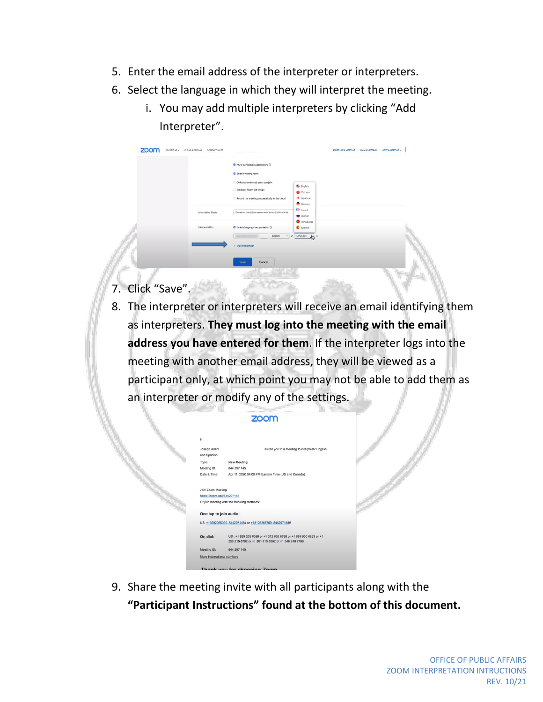- 5. Enter the email address of the interpreter or interpreters.
- 6. Select the language in which they will interpret the meeting.
	- i. You may add multiple interpreters by clicking "Add Interpreter".

|                   | Mute participants upon entry                                              |  |
|-------------------|---------------------------------------------------------------------------|--|
|                   | <b>2</b> Enable waiting room<br>Only authenticated users can join         |  |
|                   | English<br>Breakout Room pre-assign<br>Chinese                            |  |
|                   | · Japanese<br>Record the meeting automatically in the cloud<br>German     |  |
| Alternative Hosts | ( French<br>Example: mary@company.com, peter@school.edu<br><b>Russian</b> |  |
| Interpretation    | Portuguese<br>Spanish<br><b>8</b> Enable language interpretation          |  |
|                   | English<br>$Lapgauge$ $\frac{1}{2}$ $\times$<br>$\vee$ 2                  |  |
|                   | Add Interpreter<br>$+$                                                    |  |
|                   | Save<br>Cancel                                                            |  |
|                   |                                                                           |  |

- 7. Click "Save".
- 8. The interpreter or interpreters will receive an email identifying them as interpreters. **They must log into the meeting with the email address you have entered for them**. If the interpreter logs into the meeting with another email address, they will be viewed as a participant only, at which point you may not be able to add them as an interpreter or modify any of the settings.

|                             | zoom                                                                                                                  |  |
|-----------------------------|-----------------------------------------------------------------------------------------------------------------------|--|
| н                           |                                                                                                                       |  |
| Joseph Adam                 | nvited you to a meeting to interpreter English                                                                        |  |
| and Spanish                 |                                                                                                                       |  |
| Topic                       | <b>New Meeting</b>                                                                                                    |  |
| Meeting ID                  | 844 297 145                                                                                                           |  |
| Date & Time                 | Apr 11, 2020 04:00 PM Eastern Time (US and Canada)                                                                    |  |
| Join Zoom Meeting           |                                                                                                                       |  |
| https://zoom.us/j/844297145 |                                                                                                                       |  |
|                             | Or join meeting with the following methods:                                                                           |  |
| One tap to join audio:      |                                                                                                                       |  |
|                             | US: +19292056099844297145# or +13126266799844297145#                                                                  |  |
| Or, dial:                   | US: +1 929 205 6099 or +1 312 626 6799 or +1 669 900 6833 or +1<br>253 215 8782 or +1 301 715 8592 or +1 346 248 7799 |  |
| Meeting ID:                 | 844 297 145                                                                                                           |  |
| More International numbers  |                                                                                                                       |  |
|                             | Thank vou for choosing Zoom                                                                                           |  |

9. Share the meeting invite with all participants along with the **"Participant Instructions" found at the bottom of this document.**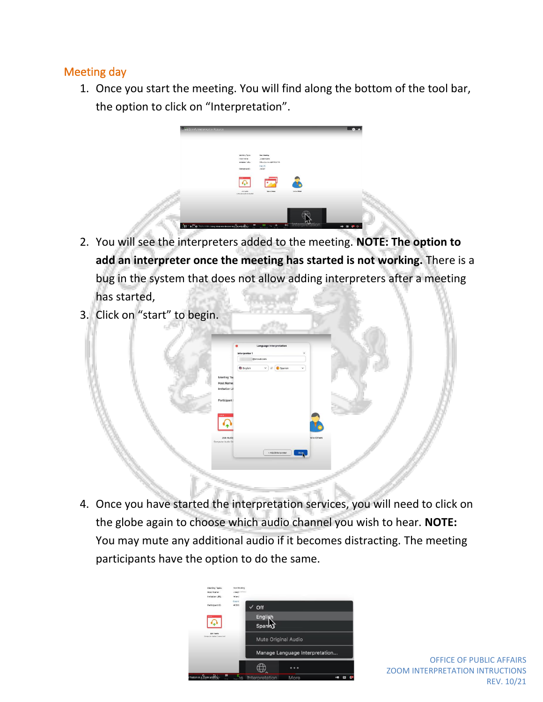#### Meeting day

1. Once you start the meeting. You will find along the bottom of the tool bar, the option to click on "Interpretation".



- 2. You will see the interpreters added to the meeting. **NOTE: The option to add an interpreter once the meeting has started is not working.** There is a bug in the system that does not allow adding interpreters after a meeting has started,
- 3. Click on "start" to begin.



4. Once you have started the interpretation services, you will need to click on the globe again to choose which audio channel you wish to hear. **NOTE:** You may mute any additional audio if it becomes distracting. The meeting participants have the option to do the same.



OFFICE OF PUBLIC AFFAIRS ZOOM INTERPRETATION INTRUCTIONS REV. 10/21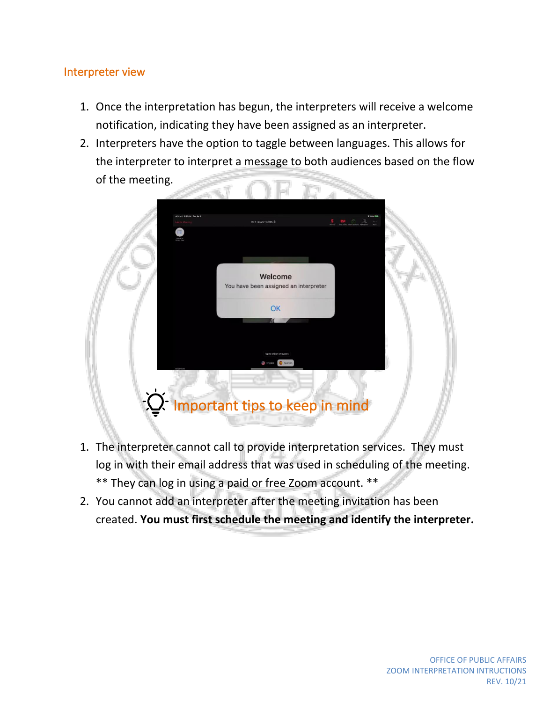#### Interpreter view

- 1. Once the interpretation has begun, the interpreters will receive a welcome notification, indicating they have been assigned as an interpreter.
- 2. Interpreters have the option to taggle between languages. This allows for the interpreter to interpret a message to both audiences based on the flow of the meeting.



- 1. The interpreter cannot call to provide interpretation services. They must log in with their email address that was used in scheduling of the meeting. \*\* They can log in using a paid or free Zoom account. \*\*
- 2. You cannot add an interpreter after the meeting invitation has been created. **You must first schedule the meeting and identify the interpreter.**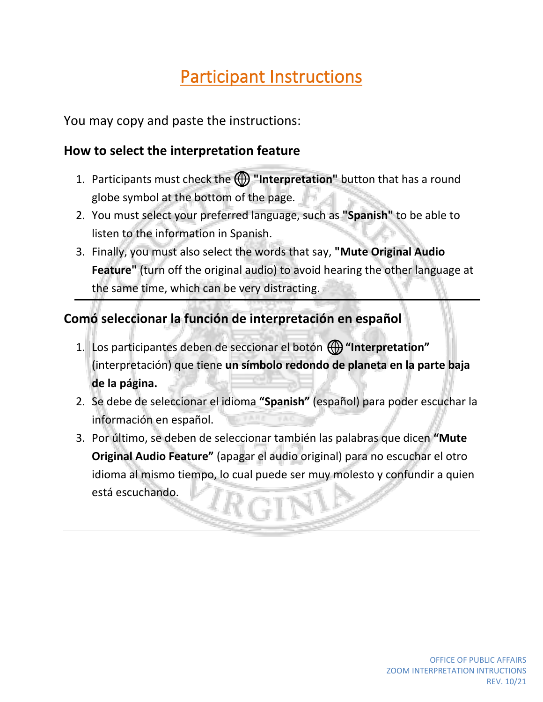# Participant Instructions

You may copy and paste the instructions:

#### **How to select the interpretation feature**

- 1. Participants must check the **"Interpretation"** button that has a round globe symbol at the bottom of the page.
- 2. You must select your preferred language, such as **"Spanish"** to be able to listen to the information in Spanish.
- 3. Finally, you must also select the words that say, **"Mute Original Audio Feature"** (turn off the original audio) to avoid hearing the other language at the same time, which can be very distracting.

### **Comó seleccionar la función de interpretación en español**

- 1. Los participantes deben de seccionar el botón (i) "Interpretation" (interpretación) que tiene **un símbolo redondo de planeta en la parte baja de la página.**
- 2. Se debe de seleccionar el idioma **"Spanish"** (español) para poder escuchar la **TARE** información en español.
- 3. Por último, se deben de seleccionar también las palabras que dicen **"Mute Original Audio Feature"** (apagar el audio original) para no escuchar el otro idioma al mismo tiempo, lo cual puede ser muy molesto y confundir a quien está escuchando.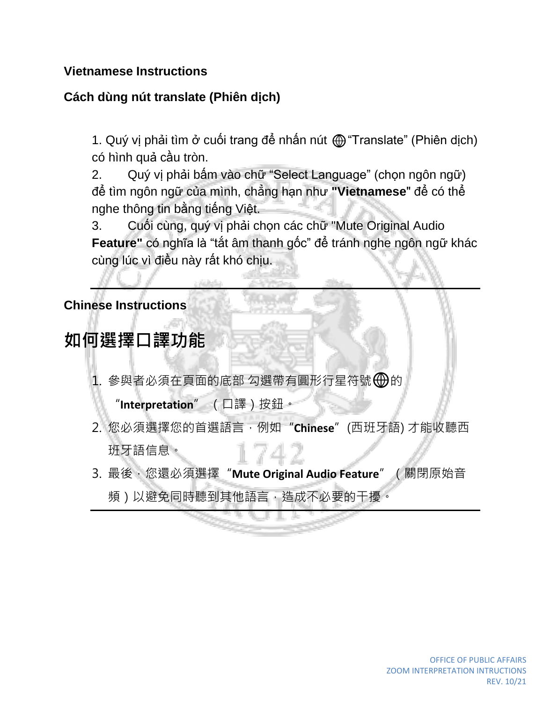#### **Vietnamese Instructions**

## **Cách dùng nút translate (Phiên dịch)**

1. Quý vị phải tìm ở cuối trang để nhấn nút  $\bigoplus$  "Translate" (Phiên dịch) có hình quả cầu tròn.

2. Quý vị phải bấm vào chữ "Select Language" (chọn ngôn ngữ) để tìm ngôn ngữ của mình, chẳng hạn như **"Vietnamese**" để có thể nghe thông tin bằng tiếng Việt.

3. Cuối cùng, quý vị phải chọn các chữ "Mute Original Audio **Feature"** có nghĩa là "tắt âm thanh gốc" để tránh nghe ngôn ngữ khác cùng lúc vì điều này rất khó chịu.

## **Chinese Instructions**

# **如何選擇口譯功能**

1. 參與者必須在頁面的底部 勾選帶有圓形行星符號  $\textcircled{m}$ 的

"**Interpretation**" (口譯)按鈕。

- 2. 您必須選擇您的首選語言,例如"**Chinese**"(西班牙語) 才能收聽西 班牙語信息。
- 3. 最後,您還必須選擇 "Mute Original Audio Feature" (關閉原始音 頻)以避免同時聽到其他語言,造成不必要的干擾。